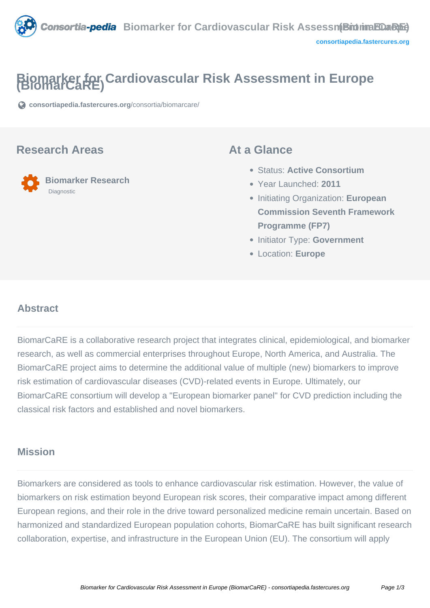

# **Biomarker for Cardiovascular Risk Assessment in Europe (BiomarCaRE)**

**[consortiapedia.fastercures.org](https://consortiapedia.fastercures.org/consortia/biomarcare/)**[/consortia/biomarcare/](https://consortiapedia.fastercures.org/consortia/biomarcare/)

#### **Research Areas**



### **At a Glance**

- Status: **Active Consortium**
- Year Launched: **2011**
- Initiating Organization: **European Commission Seventh Framework Programme (FP7)**
- **Initiator Type: Government**
- Location: **Europe**

#### $\overline{a}$ **Abstract**

BiomarCaRE is a collaborative research project that integrates clinical, epidemiological, and biomarker research, as well as commercial enterprises throughout Europe, North America, and Australia. The BiomarCaRE project aims to determine the additional value of multiple (new) biomarkers to improve risk estimation of cardiovascular diseases (CVD)-related events in Europe. Ultimately, our BiomarCaRE consortium will develop a "European biomarker panel" for CVD prediction including the classical risk factors and established and novel biomarkers.

# **Mission**

Biomarkers are considered as tools to enhance cardiovascular risk estimation. However, the value of biomarkers on risk estimation beyond European risk scores, their comparative impact among different European regions, and their role in the drive toward personalized medicine remain uncertain. Based on harmonized and standardized European population cohorts, BiomarCaRE has built significant research collaboration, expertise, and infrastructure in the European Union (EU). The consortium will apply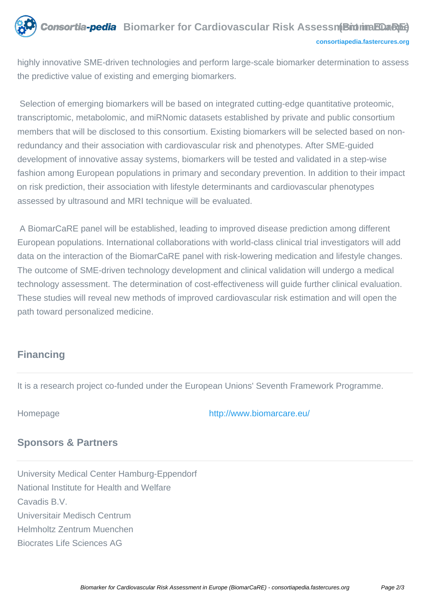

highly innovative SME-driven technologies and perform large-scale biomarker determination to assess the predictive value of existing and emerging biomarkers.

 Selection of emerging biomarkers will be based on integrated cutting-edge quantitative proteomic, transcriptomic, metabolomic, and miRNomic datasets established by private and public consortium members that will be disclosed to this consortium. Existing biomarkers will be selected based on nonredundancy and their association with cardiovascular risk and phenotypes. After SME-guided development of innovative assay systems, biomarkers will be tested and validated in a step-wise fashion among European populations in primary and secondary prevention. In addition to their impact on risk prediction, their association with lifestyle determinants and cardiovascular phenotypes assessed by ultrasound and MRI technique will be evaluated.

 A BiomarCaRE panel will be established, leading to improved disease prediction among different European populations. International collaborations with world-class clinical trial investigators will add data on the interaction of the BiomarCaRE panel with risk-lowering medication and lifestyle changes. The outcome of SME-driven technology development and clinical validation will undergo a medical technology assessment. The determination of cost-effectiveness will guide further clinical evaluation. These studies will reveal new methods of improved cardiovascular risk estimation and will open the path toward personalized medicine.

# **Financing**

It is a research project co-funded under the European Unions' Seventh Framework Programme.

#### Homepage <http://www.biomarcare.eu/>

### **Sponsors & Partners**

University Medical Center Hamburg-Eppendorf National Institute for Health and Welfare Cavadis B.V. Universitair Medisch Centrum Helmholtz Zentrum Muenchen Biocrates Life Sciences AG